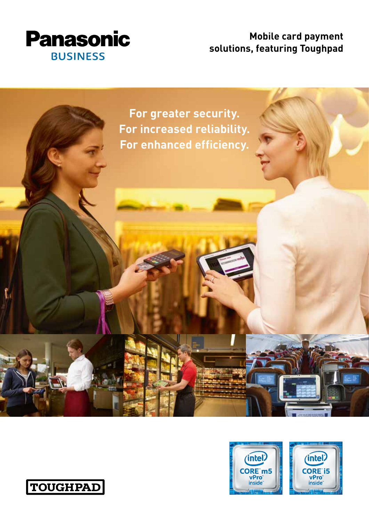

## **Mobile card payment solutions, featuring Toughpad**





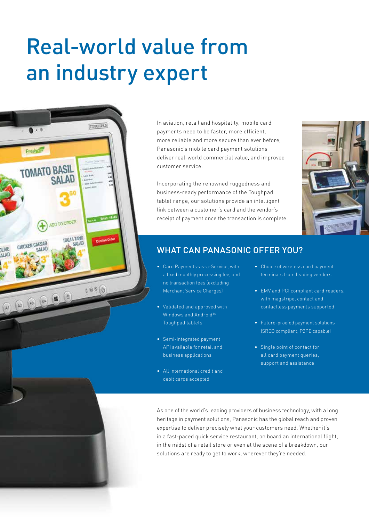## Real-world value from an industry expert



In aviation, retail and hospitality, mobile card payments need to be faster, more efficient, more reliable and more secure than ever before, Panasonic's mobile card payment solutions deliver real-world commercial value, and improved customer service.

Incorporating the renowned ruggedness and business-ready performance of the Toughpad tablet range, our solutions provide an intelligent link between a customer's card and the vendor's receipt of payment once the transaction is complete.



## WHAT CAN PANASONIC OFFER YOU?

- Card Payments-as-a-Service, with a fixed monthly processing fee, and no transaction fees (excluding Merchant Service Charges)
- Validated and approved with Windows and Android<sup>™</sup> Toughpad tablets
- Semi-integrated payment API available for retail and business applications
- All international credit and debit cards accepted
- Choice of wireless card payment terminals from leading vendors
- EMV and PCI compliant card readers, with magstripe, contact and contactless payments supported
- Future-proofed payment solutions (SRED compliant, P2PE capable)
- Single point of contact for all card payment queries, support and assistance

As one of the world's leading providers of business technology, with a long heritage in payment solutions, Panasonic has the global reach and proven expertise to deliver precisely what your customers need. Whether it's in a fast-paced quick service restaurant, on board an international flight, in the midst of a retail store or even at the scene of a breakdown, our solutions are ready to get to work, wherever they're needed.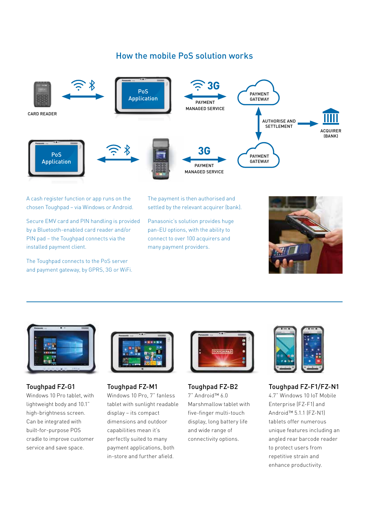## How the mobile PoS solution works



A cash register function or app runs on the chosen Toughpad – via Windows or Android.

Secure EMV card and PIN handling is provided by a Bluetooth-enabled card reader and/or PIN pad – the Toughpad connects via the installed payment client.

The Toughpad connects to the PoS server and payment gateway, by GPRS, 3G or WiFi. The payment is then authorised and settled by the relevant acquirer (bank).

Panasonic's solution provides huge pan-EU options, with the ability to connect to over 100 acquirers and many payment providers.





Toughpad FZ-G1 Windows 10 Pro tablet, with lightweight body and 10.1" high-brightness screen. Can be integrated with built-for-purpose POS cradle to improve customer service and save space.



Toughpad FZ-M1 Windows 10 Pro, 7" fanless tablet with sunlight readable display – its compact dimensions and outdoor capabilities mean it's perfectly suited to many payment applications, both in-store and further afield.



Toughpad FZ-B2 7" Android™ 6.0 Marshmallow tablet with five-finger multi-touch display, long battery life and wide range of connectivity options.



Toughpad FZ-F1/FZ-N1

4.7" Windows 10 IoT Mobile Enterprise (FZ-F1) and Android™ 5.1.1 (FZ-N1) tablets offer numerous unique features including an angled rear barcode reader to protect users from repetitive strain and enhance productivity.